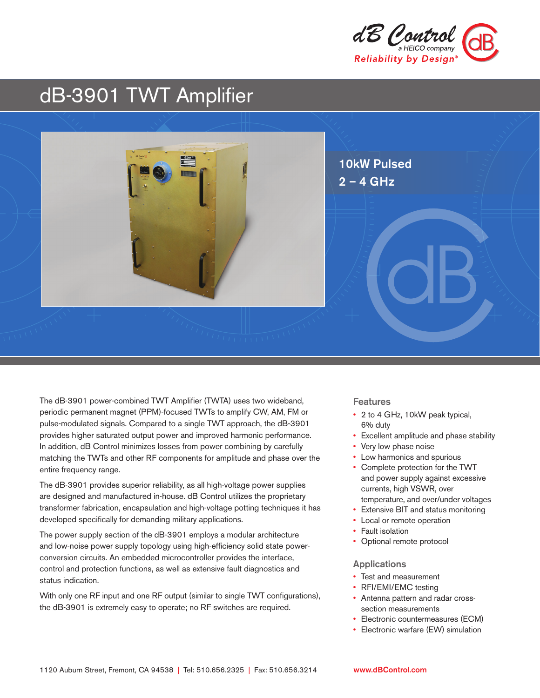

# dB-3901 TWT Amplifier



The dB-3901 power-combined TWT Amplifier (TWTA) uses two wideband, periodic permanent magnet (PPM)-focused TWTs to amplify CW, AM, FM or pulse-modulated signals. Compared to a single TWT approach, the dB-3901 provides higher saturated output power and improved harmonic performance. In addition, dB Control minimizes losses from power combining by carefully matching the TWTs and other RF components for amplitude and phase over the entire frequency range.

The dB-3901 provides superior reliability, as all high-voltage power supplies are designed and manufactured in-house. dB Control utilizes the proprietary transformer fabrication, encapsulation and high-voltage potting techniques it has developed specifically for demanding military applications.

The power supply section of the dB-3901 employs a modular architecture and low-noise power supply topology using high-efficiency solid state powerconversion circuits. An embedded microcontroller provides the interface, control and protection functions, as well as extensive fault diagnostics and status indication.

With only one RF input and one RF output (similar to single TWT configurations), the dB-3901 is extremely easy to operate; no RF switches are required.

#### Features

- 2 to 4 GHz, 10kW peak typical, 6% duty
- Excellent amplitude and phase stability
- Very low phase noise
- Low harmonics and spurious
- Complete protection for the TWT and power supply against excessive currents, high VSWR, over temperature, and over/under voltages
- Extensive BIT and status monitoring
- Local or remote operation
- Fault isolation
- Optional remote protocol

#### Applications

- Test and measurement
- RFI/EMI/EMC testing
- Antenna pattern and radar crosssection measurements
- Electronic countermeasures (ECM)
- Electronic warfare (EW) simulation